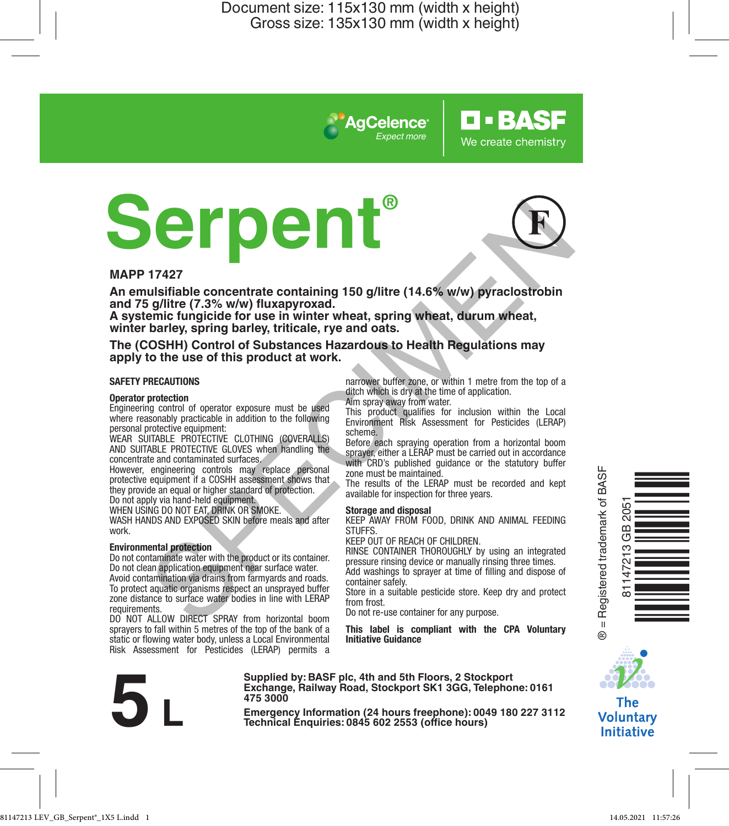*Expect more*

**AgCelence** 

# **Serpent®** THE TRIP CONSULTED AND EXPRESS CONTRACTS and the state of the state of the state of the state of the state of the state of the state of the state of the state of the state of the state of the state of the state of the stat



**O-BASF** 

We create chemistry

### **MAPP 17427**

**An emulsifiable concentrate containing 150 g/litre (14.6% w/w) pyraclostrobin and 75 g/litre (7.3% w/w) fluxapyroxad.** 

**A systemic fungicide for use in winter wheat, spring wheat, durum wheat, winter barley, spring barley, triticale, rye and oats.**

**The (COSHH) Control of Substances Hazardous to Health Regulations may apply to the use of this product at work.**

### **SAFETY PRECAUTIONS**

### **Operator protection**

Engineering control of operator exposure must be used where reasonably practicable in addition to the following personal protective equipment:

WEAR SUITABLE PROTECTIVE CLOTHING (COVERALLS) AND SUITABLE PROTECTIVE GLOVES when handling the concentrate and contaminated surfaces.

However, engineering controls may replace personal protective equipment if a COSHH assessment shows that they provide an equal or higher standard of protection.

Do not apply via hand-held equipment.

WHEN USING DO NOT EAT, DRINK OR SMOKE.

WASH HANDS AND EXPOSED SKIN before meals and after work.

### **Environmental protection**

Do not contaminate water with the product or its container. Do not clean application equipment near surface water.

Avoid contamination via drains from farmyards and roads. To protect aquatic organisms respect an unsprayed buffer zone distance to surface water bodies in line with LERAP requirements.

DO NOT ALLOW DIRECT SPRAY from horizontal boom sprayers to fall within 5 metres of the top of the bank of a static or flowing water body, unless a Local Environmental Risk Assessment for Pesticides (LERAP) permits a narrower buffer zone, or within 1 metre from the top of a ditch which is dry at the time of application. Aim spray away from water.

This product qualifies for inclusion within the Local Environment Risk Assessment for Pesticides (LERAP) scheme.

Before each spraying operation from a horizontal boom sprayer, either a LERAP must be carried out in accordance with CRD's published quidance or the statutory buffer zone must be maintained.

The results of the LERAP must be recorded and kept available for inspection for three years.

### **Storage and disposal**

KEEP AWAY FROM FOOD, DRINK AND ANIMAL FEEDING **STUFFS** 

KEEP OUT OF REACH OF CHILDREN.

RINSE CONTAINER THOROUGHLY by using an integrated pressure rinsing device or manually rinsing three times. Add washings to sprayer at time of filling and dispose of container safely.

Store in a suitable pesticide store. Keep dry and protect from frost.

Do not re-use container for any purpose.

**This label is compliant with the CPA Voluntary Initiative Guidance**



**Supplied by: BASF plc, 4th and 5th Floors, 2 Stockport Exchange, Railway Road, Stockport SK1 3GG, Telephone: 0161 475 3000** Exchange, Rallway Road, Stockport SK1 3GG, Telephone: 0161<br>
475 3000<br>
Emergency Information (24 hours freephone): 0049 180 227 3112<br>
Technical Enquiries: 0845 602 2553 (office hours)





**The Voluntary Initiative**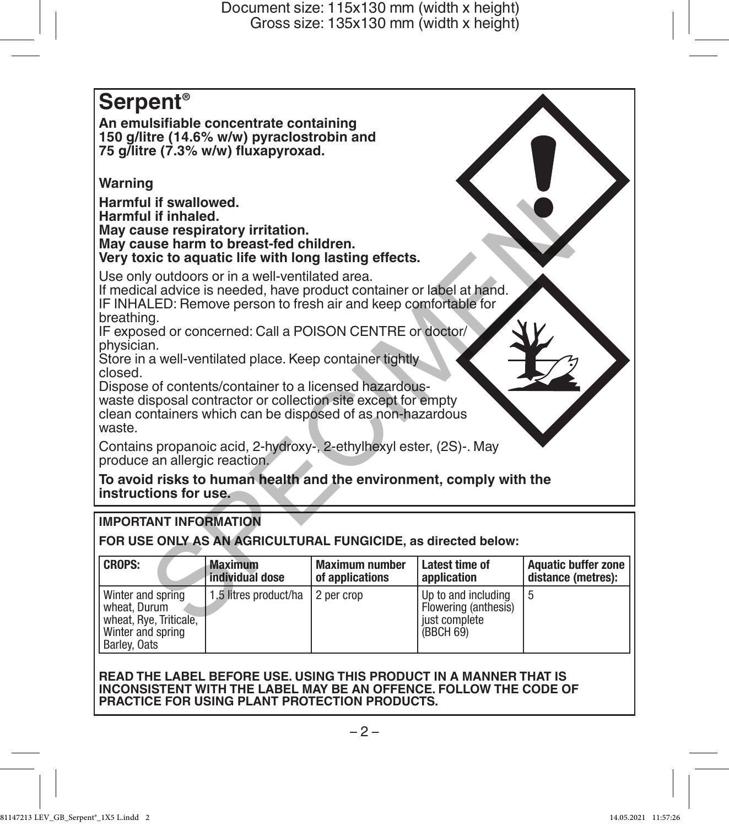

# **IMPORTANT INFORMATION**

**FOR USE ONLY AS AN AGRICULTURAL FUNGICIDE, as directed below:**

| <b>CROPS:</b>                                                                                    | <b>Maximum</b>        | <b>Maximum number</b> | Latest time of                                                            | <b>Aquatic buffer zone</b> |
|--------------------------------------------------------------------------------------------------|-----------------------|-----------------------|---------------------------------------------------------------------------|----------------------------|
|                                                                                                  | individual dose       | of applications       | application                                                               | distance (metres):         |
| Winter and spring<br>wheat. Durum<br>wheat, Rye, Triticale,<br>Winter and spring<br>Barley, Oats | 1.5 litres product/ha | 2 per crop            | Up to and including<br>Flowering (anthesis)<br>just complete<br>(BBCH 69) |                            |

### **READ THE LABEL BEFORE USE. USING THIS PRODUCT IN A MANNER THAT IS INCONSISTENT WITH THE LABEL MAY BE AN OFFENCE. FOLLOW THE CODE OF PRACTICE FOR USING PLANT PROTECTION PRODUCTS.**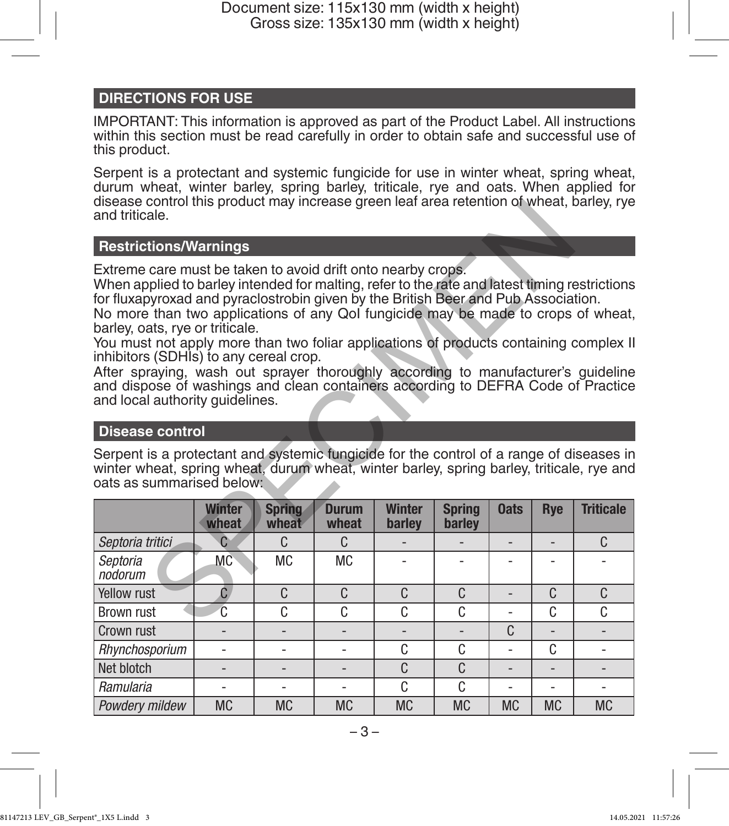# **DIRECTIONS FOR USE**

IMPORTANT: This information is approved as part of the Product Label. All instructions within this section must be read carefully in order to obtain safe and successful use of this product.

Serpent is a protectant and systemic fungicide for use in winter wheat, spring wheat, durum wheat, winter barley, spring barley, triticale, rye and oats. When applied for disease control this product may increase green leaf area retention of wheat, barley, rye and triticale.

### **Restrictions/Warnings**

# **Disease control**

| disease control this product may increase green lear area retention of wheat, barley, rye<br>and triticale.                                                                                                                                                                                                                                                                                                                                                                                                                                                                                                                                                                                                                 |                        |                        |                       |                         |                         |             |                |                  |
|-----------------------------------------------------------------------------------------------------------------------------------------------------------------------------------------------------------------------------------------------------------------------------------------------------------------------------------------------------------------------------------------------------------------------------------------------------------------------------------------------------------------------------------------------------------------------------------------------------------------------------------------------------------------------------------------------------------------------------|------------------------|------------------------|-----------------------|-------------------------|-------------------------|-------------|----------------|------------------|
|                                                                                                                                                                                                                                                                                                                                                                                                                                                                                                                                                                                                                                                                                                                             |                        |                        |                       |                         |                         |             |                |                  |
| <b>Restrictions/Warnings</b>                                                                                                                                                                                                                                                                                                                                                                                                                                                                                                                                                                                                                                                                                                |                        |                        |                       |                         |                         |             |                |                  |
| Extreme care must be taken to avoid drift onto nearby crops.<br>When applied to barley intended for malting, refer to the rate and latest timing restrictions<br>for fluxapyroxad and pyraclostrobin given by the British Beer and Pub Association.<br>No more than two applications of any Qol fungicide may be made to crops of wheat,<br>barley, oats, rye or triticale.<br>You must not apply more than two foliar applications of products containing complex II<br>inhibitors (SDHIs) to any cereal crop.<br>After spraying, wash out sprayer thoroughly according to manufacturer's guideline<br>and dispose of washings and clean containers according to DEFRA Code of Practice<br>and local authority quidelines. |                        |                        |                       |                         |                         |             |                |                  |
| <b>Disease control</b>                                                                                                                                                                                                                                                                                                                                                                                                                                                                                                                                                                                                                                                                                                      |                        |                        |                       |                         |                         |             |                |                  |
| Serpent is a protectant and systemic fungicide for the control of a range of diseases in<br>winter wheat, spring wheat, durum wheat, winter barley, spring barley, triticale, rye and<br>oats as summarised below:                                                                                                                                                                                                                                                                                                                                                                                                                                                                                                          |                        |                        |                       |                         |                         |             |                |                  |
|                                                                                                                                                                                                                                                                                                                                                                                                                                                                                                                                                                                                                                                                                                                             | <b>Winter</b><br>wheat | <b>Spring</b><br>wheat | <b>Durum</b><br>wheat | <b>Winter</b><br>barley | <b>Spring</b><br>barley | <b>Oats</b> | <b>Rye</b>     | <b>Triticale</b> |
| Septoria tritici                                                                                                                                                                                                                                                                                                                                                                                                                                                                                                                                                                                                                                                                                                            | C                      | C                      | $\Gamma$              |                         |                         | L,          | $\overline{a}$ | C                |
| Septoria<br>nodorum                                                                                                                                                                                                                                                                                                                                                                                                                                                                                                                                                                                                                                                                                                         | <b>MC</b>              | <b>MC</b>              | <b>MC</b>             |                         |                         | ٠           |                |                  |
| Yellow rust                                                                                                                                                                                                                                                                                                                                                                                                                                                                                                                                                                                                                                                                                                                 | $\mathbf{C}$           | C                      | C                     | C                       | C                       | L,          | C              | C                |
| <b>Brown rust</b>                                                                                                                                                                                                                                                                                                                                                                                                                                                                                                                                                                                                                                                                                                           | Ć                      | C                      | C                     | C                       | C                       |             | C              | C                |
| Crown rust                                                                                                                                                                                                                                                                                                                                                                                                                                                                                                                                                                                                                                                                                                                  |                        |                        |                       |                         |                         | C           |                |                  |
| Rhynchosporium                                                                                                                                                                                                                                                                                                                                                                                                                                                                                                                                                                                                                                                                                                              |                        | ÷                      | ä,                    | C                       | C                       | ÷.          | C              | ÷                |
| Net blotch                                                                                                                                                                                                                                                                                                                                                                                                                                                                                                                                                                                                                                                                                                                  |                        |                        | $\overline{a}$        | C                       | C                       |             |                | $\overline{a}$   |
| Ramularia                                                                                                                                                                                                                                                                                                                                                                                                                                                                                                                                                                                                                                                                                                                   |                        |                        |                       | C                       | C                       |             |                |                  |
| Powdery mildew                                                                                                                                                                                                                                                                                                                                                                                                                                                                                                                                                                                                                                                                                                              | <b>MC</b>              | <b>MC</b>              | <b>MC</b>             | <b>MC</b>               | <b>MC</b>               | <b>MC</b>   | <b>MC</b>      | <b>MC</b>        |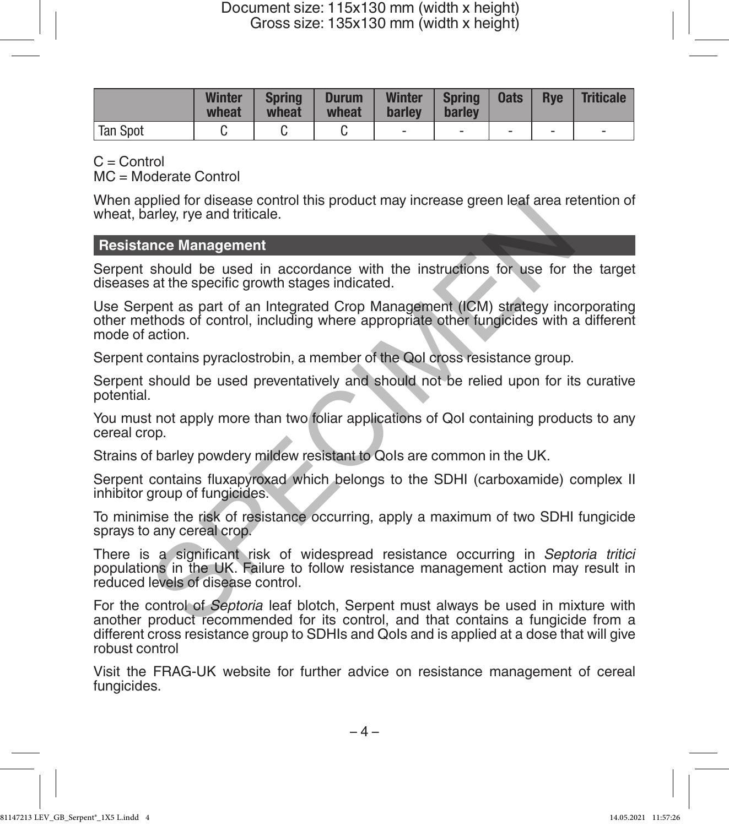|          | Winter<br>wheat | <b>Spring</b><br>wheat | <b>Durum</b><br>wheat | <b>Winter</b><br>barley | Spring<br>barley | Oats | <b>Rve</b> | <b>Triticale</b> |
|----------|-----------------|------------------------|-----------------------|-------------------------|------------------|------|------------|------------------|
| Tan Spot |                 |                        |                       |                         |                  | -    | -          | -                |

 $C =$  Control

MC = Moderate Control

When applied for disease control this product may increase green leaf area retention of wheat, barley, rye and triticale.

# **Resistance Management**

Serpent should be used in accordance with the instructions for use for the target diseases at the specific growth stages indicated.

Use Serpent as part of an Integrated Crop Management (ICM) strategy incorporating other methods of control, including where appropriate other fungicides with a different mode of action. plead or disease control ints product may increase green real area reaches should be used in accordance with the instructions for use for the at the specific growth stages indicated.<br>
note Management<br>
at the specific growt

Serpent contains pyraclostrobin, a member of the QoI cross resistance group.

Serpent should be used preventatively and should not be relied upon for its curative potential.

You must not apply more than two foliar applications of QoI containing products to any cereal crop.

Strains of barley powdery mildew resistant to Ools are common in the UK.

Serpent contains fluxapyroxad which belongs to the SDHI (carboxamide) complex II inhibitor group of fungicides.

To minimise the risk of resistance occurring, apply a maximum of two SDHI fungicide sprays to any cereal crop.

There is a significant risk of widespread resistance occurring in *Septoria tritici* populations in the UK. Failure to follow resistance management action may result in reduced levels of disease control.

For the control of *Septoria* leaf blotch, Serpent must always be used in mixture with another product recommended for its control, and that contains a fungicide from a different cross resistance group to SDHIs and QoIs and is applied at a dose that will give robust control

Visit the FRAG-UK website for further advice on resistance management of cereal fungicides.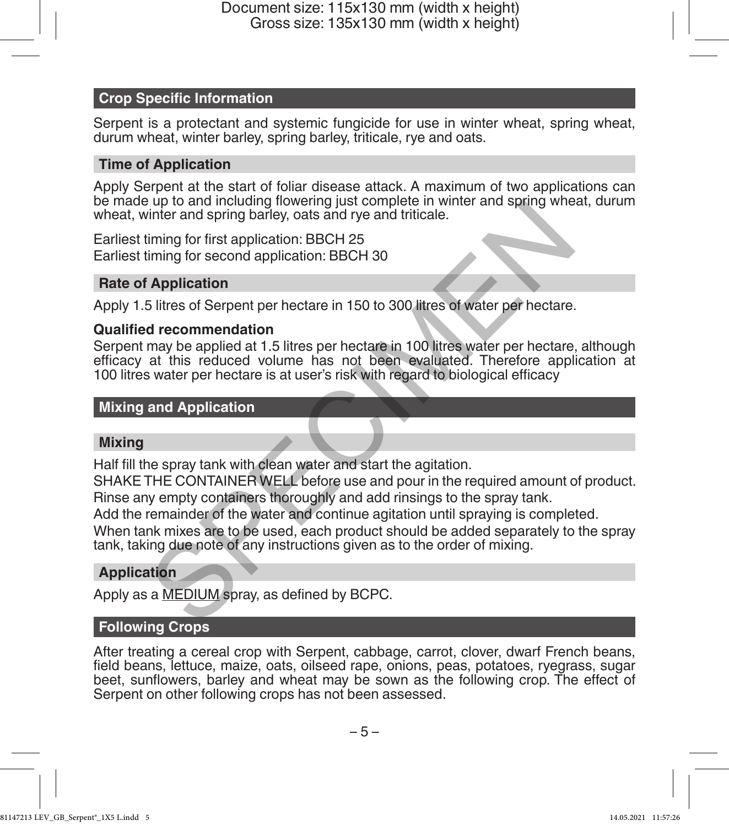# **Crop Specific Information**

Serpent is a protectant and systemic fungicide for use in winter wheat, spring wheat, durum wheat, winter barley, spring barley, triticale, rye and oats.

# **Time of Application**

Apply Serpent at the start of foliar disease attack. A maximum of two applications can be made up to and including flowering just complete in winter and spring wheat, durum wheat, winter and spring barley, oats and rye and triticale.

Earliest timing for first application: BBCH 25 Earliest timing for second application: BBCH 30

### **Rate of Application**

Apply 1.5 litres of Serpent per hectare in 150 to 300 litres of water per hectare.

### **Qualified recommendation**

Serpent may be applied at 1.5 litres per hectare in 100 litres water per hectare, although efficacy at this reduced volume has not been evaluated. Therefore application at 100 litres water per hectare is at user's risk with regard to biological efficacy by to and microlary might suction and the distance in with the rad spring barely, oats and rye and triticale.<br>
Sinter and spring barley, oats and rye and triticale.<br>
Sinter and spring barely, oats and rye and triticale.<br>
S

# **Mixing and Application**

# **Mixing**

Half fill the spray tank with clean water and start the agitation.

SHAKE THE CONTAINER WELL before use and pour in the required amount of product. Rinse any empty containers thoroughly and add rinsings to the spray tank.

Add the remainder of the water and continue agitation until spraying is completed.

When tank mixes are to be used, each product should be added separately to the spray tank, taking due note of any instructions given as to the order of mixing.

# **Application**

Apply as a MEDIUM spray, as defined by BCPC.

# **Following Crops**

After treating a cereal crop with Serpent, cabbage, carrot, clover, dwarf French beans, field beans, lettuce, maize, oats, oilseed rape, onions, peas, potatoes, ryegrass, sugar beet, sunflowers, barley and wheat may be sown as the following crop. The effect of Serpent on other following crops has not been assessed.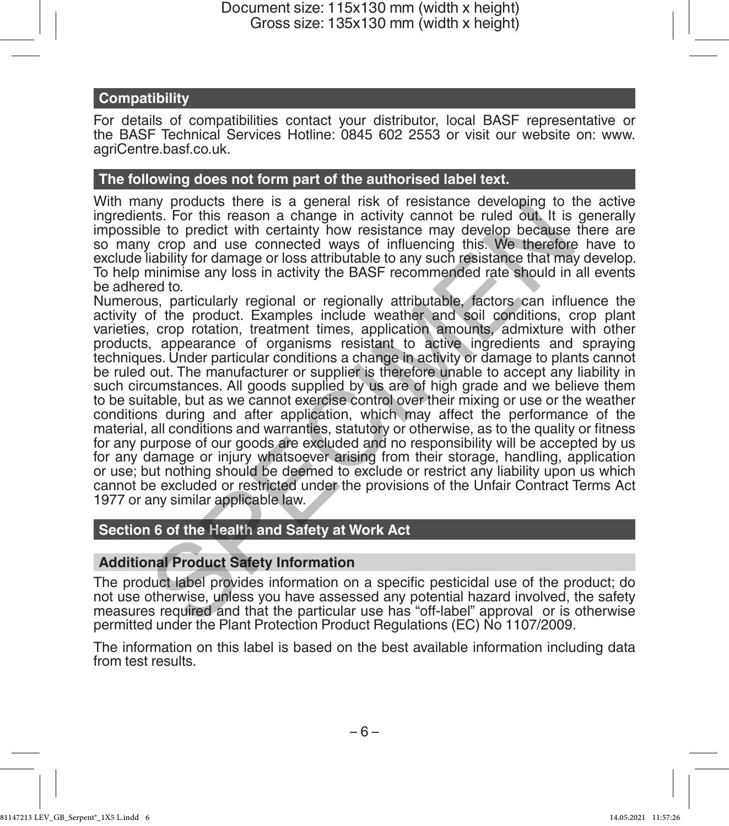# **Compatibility**

For details of compatibilities contact your distributor, local BASF representative or the BASF Technical Services Hotline: 0845 602 2553 or visit our website on: www. agriCentre.basf.co.uk.

### **The following does not form part of the authorised label text.**

With many products there is a general risk of resistance developing to the active ingredients. For this reason a change in activity cannot be ruled out. It is generally impossible to predict with certainty how resistance may develop because there are so many crop and use connected ways of influencing this. We therefore have to exclude liability for damage or loss attributable to any such resistance that may develop. To help minimise any loss in activity the BASF recommended rate should in all events be adhered to.

Numerous, particularly regional or regionally attributable, factors can influence the activity of the product. Examples include weather and soil conditions, crop plant varieties, crop rotation, treatment times, application amounts, admixture with other products, appearance of organisms resistant to active ingredients and spraying techniques. Under particular conditions a change in activity or damage to plants cannot be ruled out. The manufacturer or supplier is therefore unable to accept any liability in such circumstances. All goods supplied by us are of high grade and we believe them to be suitable, but as we cannot exercise control over their mixing or use or the weather conditions during and after application, which may affect the performance of the material, all conditions and warranties, statutory or otherwise, as to the quality or fitness for any purpose of our goods are excluded and no responsibility will be accepted by us for any damage or injury whatsoever arising from their storage, handling, application or use; but nothing should be deemed to exclude or restrict any liability upon us which cannot be excluded or restricted under the provisions of the Unfair Contract Terms Act 1977 or any similar applicable law. my products there is a general risk or resistance developing to the<br>its. For this reason a change in activity cannot be ruled out, it is<br>ble to predict with certainty how resistance may develop because<br>itability for damage

# **Section 6 of the Health and Safety at Work Act**

# **Additional Product Safety Information**

The product label provides information on a specific pesticidal use of the product; do not use otherwise, unless you have assessed any potential hazard involved, the safety measures required and that the particular use has "off-label" approval or is otherwise permitted under the Plant Protection Product Regulations (EC) No 1107/2009.

The information on this label is based on the best available information including data from test results.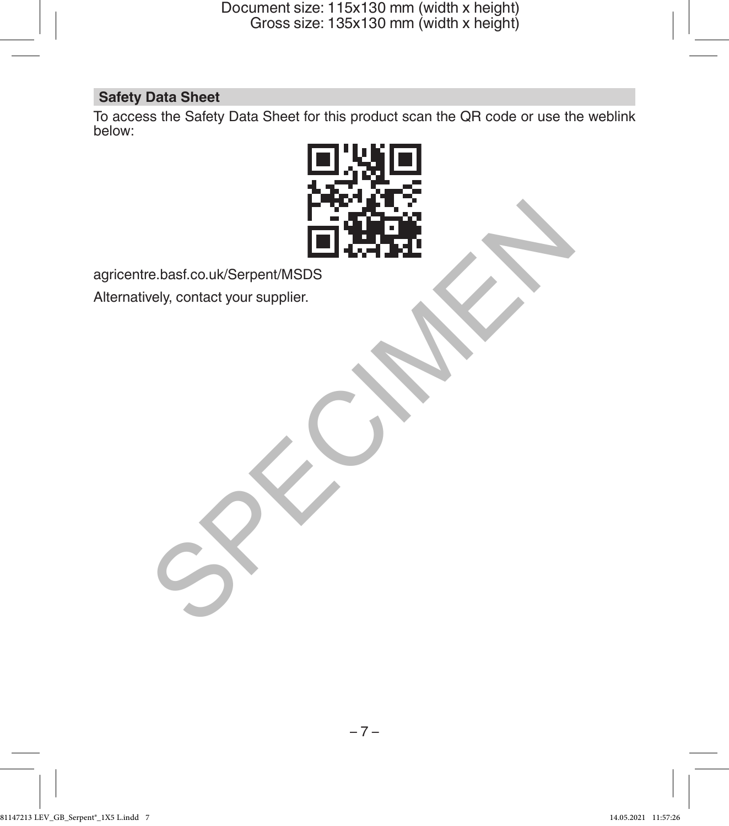# **Safety Data Sheet**

To access the Safety Data Sheet for this product scan the QR code or use the weblink below:



agricentre.basf.co.uk/Serpent/MSDS

Alternatively, contact your supplier.